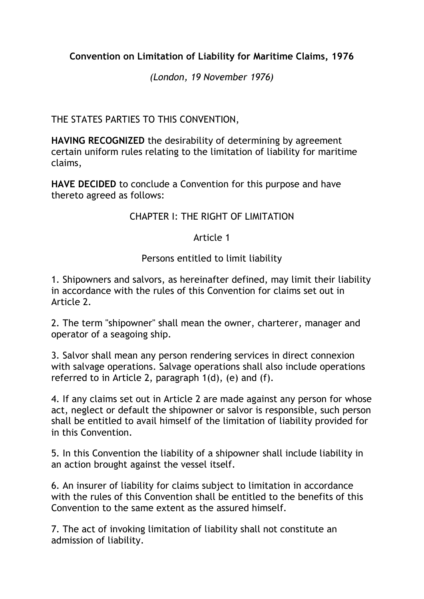## **Convention on Limitation of Liability for Maritime Claims, 1976**

*(London, 19 November 1976)*

THE STATES PARTIES TO THIS CONVENTION,

**HAVING RECOGNIZED** the desirability of determining by agreement certain uniform rules relating to the limitation of liability for maritime claims,

**HAVE DECIDED** to conclude a Convention for this purpose and have thereto agreed as follows:

# CHAPTER I: THE RIGHT OF LIMITATION

## Article 1

## Persons entitled to limit liability

1. Shipowners and salvors, as hereinafter defined, may limit their liability in accordance with the rules of this Convention for claims set out in Article 2.

2. The term "shipowner" shall mean the owner, charterer, manager and operator of a seagoing ship.

3. Salvor shall mean any person rendering services in direct connexion with salvage operations. Salvage operations shall also include operations referred to in Article 2, paragraph 1(d), (e) and (f).

4. If any claims set out in Article 2 are made against any person for whose act, neglect or default the shipowner or salvor is responsible, such person shall be entitled to avail himself of the limitation of liability provided for in this Convention.

5. In this Convention the liability of a shipowner shall include liability in an action brought against the vessel itself.

6. An insurer of liability for claims subject to limitation in accordance with the rules of this Convention shall be entitled to the benefits of this Convention to the same extent as the assured himself.

7. The act of invoking limitation of liability shall not constitute an admission of liability.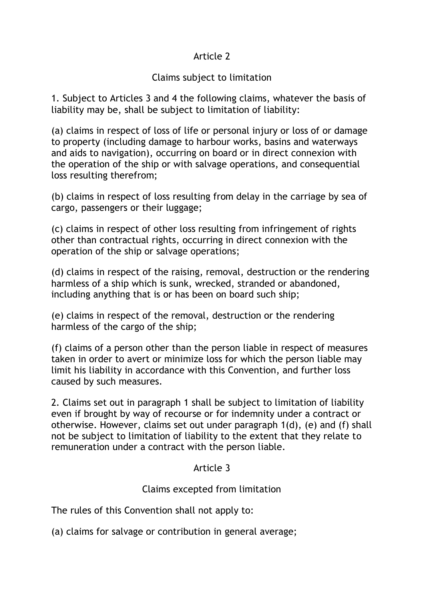## Article 2

## Claims subject to limitation

1. Subject to Articles 3 and 4 the following claims, whatever the basis of liability may be, shall be subject to limitation of liability:

(a) claims in respect of loss of life or personal injury or loss of or damage to property (including damage to harbour works, basins and waterways and aids to navigation), occurring on board or in direct connexion with the operation of the ship or with salvage operations, and consequential loss resulting therefrom;

(b) claims in respect of loss resulting from delay in the carriage by sea of cargo, passengers or their luggage;

(c) claims in respect of other loss resulting from infringement of rights other than contractual rights, occurring in direct connexion with the operation of the ship or salvage operations;

(d) claims in respect of the raising, removal, destruction or the rendering harmless of a ship which is sunk, wrecked, stranded or abandoned, including anything that is or has been on board such ship;

(e) claims in respect of the removal, destruction or the rendering harmless of the cargo of the ship;

(f) claims of a person other than the person liable in respect of measures taken in order to avert or minimize loss for which the person liable may limit his liability in accordance with this Convention, and further loss caused by such measures.

2. Claims set out in paragraph 1 shall be subject to limitation of liability even if brought by way of recourse or for indemnity under a contract or otherwise. However, claims set out under paragraph 1(d), (e) and (f) shall not be subject to limitation of liability to the extent that they relate to remuneration under a contract with the person liable.

## Article 3

# Claims excepted from limitation

The rules of this Convention shall not apply to:

(a) claims for salvage or contribution in general average;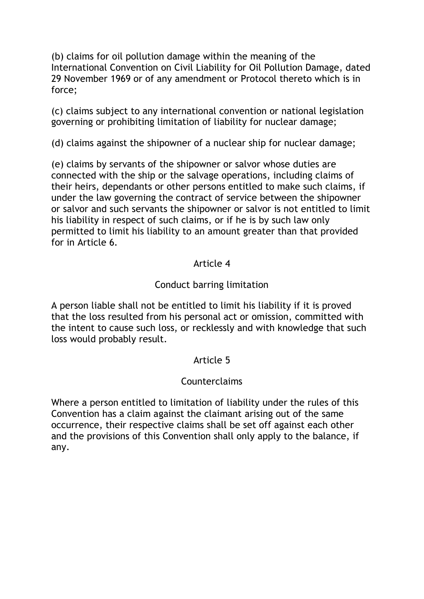(b) claims for oil pollution damage within the meaning of the International Convention on Civil Liability for Oil Pollution Damage, dated 29 November 1969 or of any amendment or Protocol thereto which is in force;

(c) claims subject to any international convention or national legislation governing or prohibiting limitation of liability for nuclear damage;

(d) claims against the shipowner of a nuclear ship for nuclear damage;

(e) claims by servants of the shipowner or salvor whose duties are connected with the ship or the salvage operations, including claims of their heirs, dependants or other persons entitled to make such claims, if under the law governing the contract of service between the shipowner or salvor and such servants the shipowner or salvor is not entitled to limit his liability in respect of such claims, or if he is by such law only permitted to limit his liability to an amount greater than that provided for in Article 6.

### Article 4

## Conduct barring limitation

A person liable shall not be entitled to limit his liability if it is proved that the loss resulted from his personal act or omission, committed with the intent to cause such loss, or recklessly and with knowledge that such loss would probably result.

## Article 5

## Counterclaims

Where a person entitled to limitation of liability under the rules of this Convention has a claim against the claimant arising out of the same occurrence, their respective claims shall be set off against each other and the provisions of this Convention shall only apply to the balance, if any.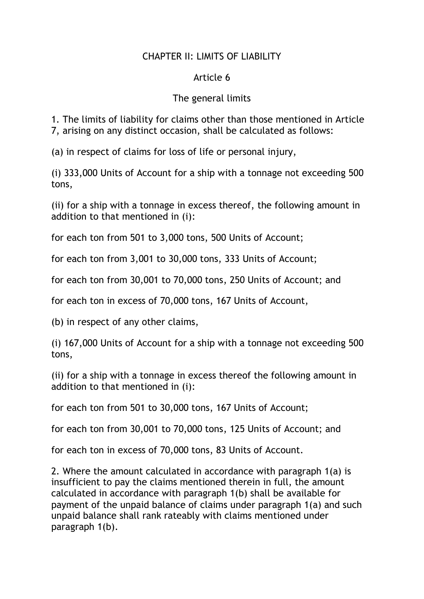## CHAPTER II: LIMITS OF LIABILITY

### Article 6

## The general limits

1. The limits of liability for claims other than those mentioned in Article 7, arising on any distinct occasion, shall be calculated as follows:

(a) in respect of claims for loss of life or personal injury,

(i) 333,000 Units of Account for a ship with a tonnage not exceeding 500 tons,

(ii) for a ship with a tonnage in excess thereof, the following amount in addition to that mentioned in (i):

for each ton from 501 to 3,000 tons, 500 Units of Account;

for each ton from 3,001 to 30,000 tons, 333 Units of Account;

for each ton from 30,001 to 70,000 tons, 250 Units of Account; and

for each ton in excess of 70,000 tons, 167 Units of Account,

(b) in respect of any other claims,

(i) 167,000 Units of Account for a ship with a tonnage not exceeding 500 tons,

(ii) for a ship with a tonnage in excess thereof the following amount in addition to that mentioned in (i):

for each ton from 501 to 30,000 tons, 167 Units of Account;

for each ton from 30,001 to 70,000 tons, 125 Units of Account; and

for each ton in excess of 70,000 tons, 83 Units of Account.

2. Where the amount calculated in accordance with paragraph 1(a) is insufficient to pay the claims mentioned therein in full, the amount calculated in accordance with paragraph 1(b) shall be available for payment of the unpaid balance of claims under paragraph 1(a) and such unpaid balance shall rank rateably with claims mentioned under paragraph 1(b).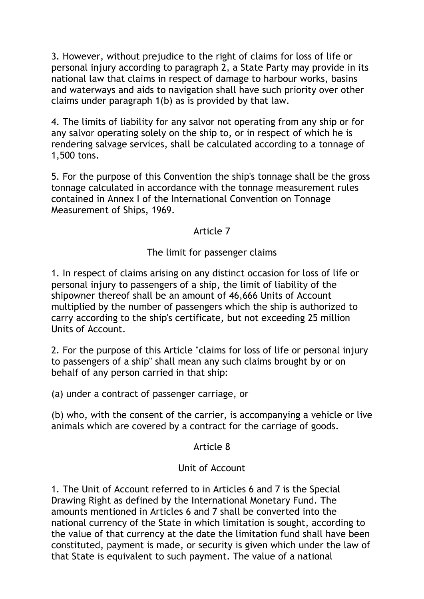3. However, without prejudice to the right of claims for loss of life or personal injury according to paragraph 2, a State Party may provide in its national law that claims in respect of damage to harbour works, basins and waterways and aids to navigation shall have such priority over other claims under paragraph 1(b) as is provided by that law.

4. The limits of liability for any salvor not operating from any ship or for any salvor operating solely on the ship to, or in respect of which he is rendering salvage services, shall be calculated according to a tonnage of 1,500 tons.

5. For the purpose of this Convention the ship's tonnage shall be the gross tonnage calculated in accordance with the tonnage measurement rules contained in Annex I of the International Convention on Tonnage Measurement of Ships, 1969.

## Article 7

### The limit for passenger claims

1. In respect of claims arising on any distinct occasion for loss of life or personal injury to passengers of a ship, the limit of liability of the shipowner thereof shall be an amount of 46,666 Units of Account multiplied by the number of passengers which the ship is authorized to carry according to the ship's certificate, but not exceeding 25 million Units of Account.

2. For the purpose of this Article "claims for loss of life or personal injury to passengers of a ship" shall mean any such claims brought by or on behalf of any person carried in that ship:

(a) under a contract of passenger carriage, or

(b) who, with the consent of the carrier, is accompanying a vehicle or live animals which are covered by a contract for the carriage of goods.

#### Article 8

#### Unit of Account

1. The Unit of Account referred to in Articles 6 and 7 is the Special Drawing Right as defined by the International Monetary Fund. The amounts mentioned in Articles 6 and 7 shall be converted into the national currency of the State in which limitation is sought, according to the value of that currency at the date the limitation fund shall have been constituted, payment is made, or security is given which under the law of that State is equivalent to such payment. The value of a national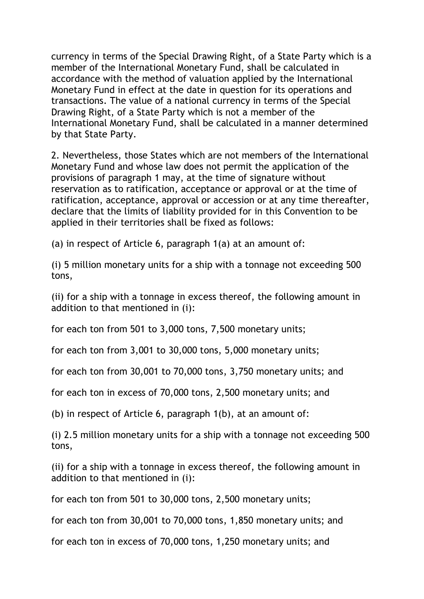currency in terms of the Special Drawing Right, of a State Party which is a member of the International Monetary Fund, shall be calculated in accordance with the method of valuation applied by the International Monetary Fund in effect at the date in question for its operations and transactions. The value of a national currency in terms of the Special Drawing Right, of a State Party which is not a member of the International Monetary Fund, shall be calculated in a manner determined by that State Party.

2. Nevertheless, those States which are not members of the International Monetary Fund and whose law does not permit the application of the provisions of paragraph 1 may, at the time of signature without reservation as to ratification, acceptance or approval or at the time of ratification, acceptance, approval or accession or at any time thereafter, declare that the limits of liability provided for in this Convention to be applied in their territories shall be fixed as follows:

(a) in respect of Article 6, paragraph 1(a) at an amount of:

(i) 5 million monetary units for a ship with a tonnage not exceeding 500 tons,

(ii) for a ship with a tonnage in excess thereof, the following amount in addition to that mentioned in (i):

for each ton from 501 to 3,000 tons, 7,500 monetary units;

for each ton from 3,001 to 30,000 tons, 5,000 monetary units;

for each ton from 30,001 to 70,000 tons, 3,750 monetary units; and

for each ton in excess of 70,000 tons, 2,500 monetary units; and

(b) in respect of Article 6, paragraph 1(b), at an amount of:

(i) 2.5 million monetary units for a ship with a tonnage not exceeding 500 tons,

(ii) for a ship with a tonnage in excess thereof, the following amount in addition to that mentioned in (i):

for each ton from 501 to 30,000 tons, 2,500 monetary units;

for each ton from 30,001 to 70,000 tons, 1,850 monetary units; and

for each ton in excess of 70,000 tons, 1,250 monetary units; and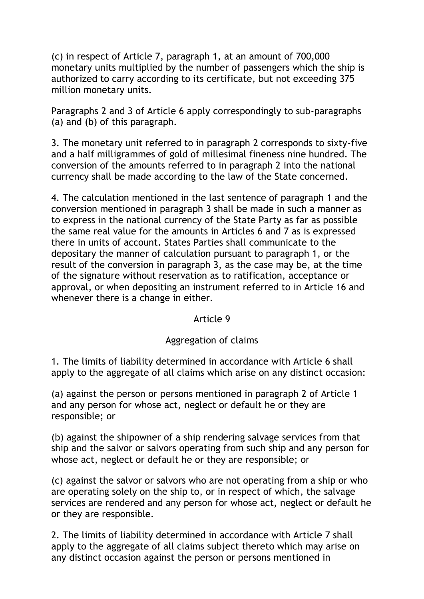(c) in respect of Article 7, paragraph 1, at an amount of 700,000 monetary units multiplied by the number of passengers which the ship is authorized to carry according to its certificate, but not exceeding 375 million monetary units.

Paragraphs 2 and 3 of Article 6 apply correspondingly to sub-paragraphs (a) and (b) of this paragraph.

3. The monetary unit referred to in paragraph 2 corresponds to sixty-five and a half milligrammes of gold of millesimal fineness nine hundred. The conversion of the amounts referred to in paragraph 2 into the national currency shall be made according to the law of the State concerned.

4. The calculation mentioned in the last sentence of paragraph 1 and the conversion mentioned in paragraph 3 shall be made in such a manner as to express in the national currency of the State Party as far as possible the same real value for the amounts in Articles 6 and 7 as is expressed there in units of account. States Parties shall communicate to the depositary the manner of calculation pursuant to paragraph 1, or the result of the conversion in paragraph 3, as the case may be, at the time of the signature without reservation as to ratification, acceptance or approval, or when depositing an instrument referred to in Article 16 and whenever there is a change in either.

#### Article 9

#### Aggregation of claims

1. The limits of liability determined in accordance with Article 6 shall apply to the aggregate of all claims which arise on any distinct occasion:

(a) against the person or persons mentioned in paragraph 2 of Article 1 and any person for whose act, neglect or default he or they are responsible; or

(b) against the shipowner of a ship rendering salvage services from that ship and the salvor or salvors operating from such ship and any person for whose act, neglect or default he or they are responsible; or

(c) against the salvor or salvors who are not operating from a ship or who are operating solely on the ship to, or in respect of which, the salvage services are rendered and any person for whose act, neglect or default he or they are responsible.

2. The limits of liability determined in accordance with Article 7 shall apply to the aggregate of all claims subject thereto which may arise on any distinct occasion against the person or persons mentioned in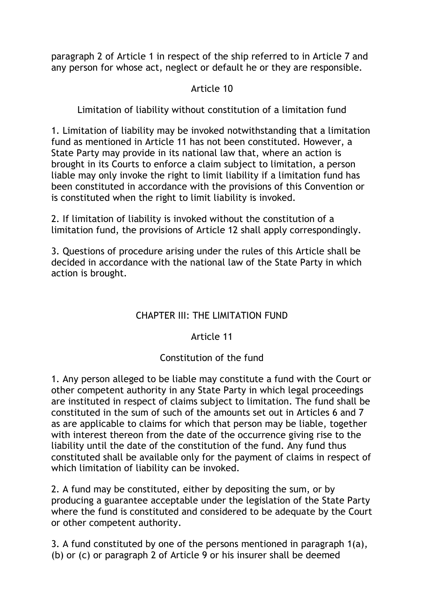paragraph 2 of Article 1 in respect of the ship referred to in Article 7 and any person for whose act, neglect or default he or they are responsible.

## Article 10

Limitation of liability without constitution of a limitation fund

1. Limitation of liability may be invoked notwithstanding that a limitation fund as mentioned in Article 11 has not been constituted. However, a State Party may provide in its national law that, where an action is brought in its Courts to enforce a claim subject to limitation, a person liable may only invoke the right to limit liability if a limitation fund has been constituted in accordance with the provisions of this Convention or is constituted when the right to limit liability is invoked.

2. If limitation of liability is invoked without the constitution of a limitation fund, the provisions of Article 12 shall apply correspondingly.

3. Questions of procedure arising under the rules of this Article shall be decided in accordance with the national law of the State Party in which action is brought.

# CHAPTER III: THE LIMITATION FUND

## Article 11

## Constitution of the fund

1. Any person alleged to be liable may constitute a fund with the Court or other competent authority in any State Party in which legal proceedings are instituted in respect of claims subject to limitation. The fund shall be constituted in the sum of such of the amounts set out in Articles 6 and 7 as are applicable to claims for which that person may be liable, together with interest thereon from the date of the occurrence giving rise to the liability until the date of the constitution of the fund. Any fund thus constituted shall be available only for the payment of claims in respect of which limitation of liability can be invoked.

2. A fund may be constituted, either by depositing the sum, or by producing a guarantee acceptable under the legislation of the State Party where the fund is constituted and considered to be adequate by the Court or other competent authority.

3. A fund constituted by one of the persons mentioned in paragraph 1(a), (b) or (c) or paragraph 2 of Article 9 or his insurer shall be deemed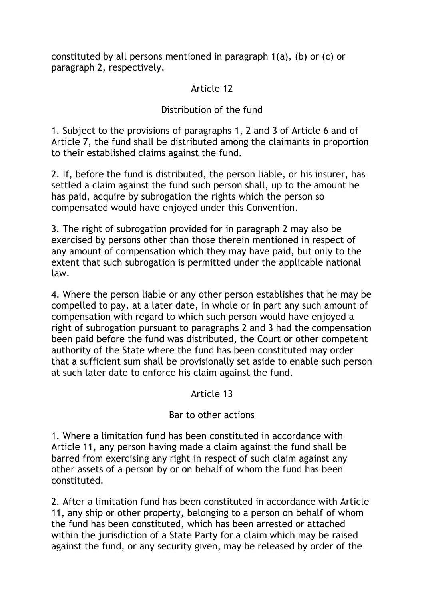constituted by all persons mentioned in paragraph 1(a), (b) or (c) or paragraph 2, respectively.

# Article 12

# Distribution of the fund

1. Subject to the provisions of paragraphs 1, 2 and 3 of Article 6 and of Article 7, the fund shall be distributed among the claimants in proportion to their established claims against the fund.

2. If, before the fund is distributed, the person liable, or his insurer, has settled a claim against the fund such person shall, up to the amount he has paid, acquire by subrogation the rights which the person so compensated would have enjoyed under this Convention.

3. The right of subrogation provided for in paragraph 2 may also be exercised by persons other than those therein mentioned in respect of any amount of compensation which they may have paid, but only to the extent that such subrogation is permitted under the applicable national law.

4. Where the person liable or any other person establishes that he may be compelled to pay, at a later date, in whole or in part any such amount of compensation with regard to which such person would have enjoyed a right of subrogation pursuant to paragraphs 2 and 3 had the compensation been paid before the fund was distributed, the Court or other competent authority of the State where the fund has been constituted may order that a sufficient sum shall be provisionally set aside to enable such person at such later date to enforce his claim against the fund.

## Article 13

## Bar to other actions

1. Where a limitation fund has been constituted in accordance with Article 11, any person having made a claim against the fund shall be barred from exercising any right in respect of such claim against any other assets of a person by or on behalf of whom the fund has been constituted.

2. After a limitation fund has been constituted in accordance with Article 11, any ship or other property, belonging to a person on behalf of whom the fund has been constituted, which has been arrested or attached within the jurisdiction of a State Party for a claim which may be raised against the fund, or any security given, may be released by order of the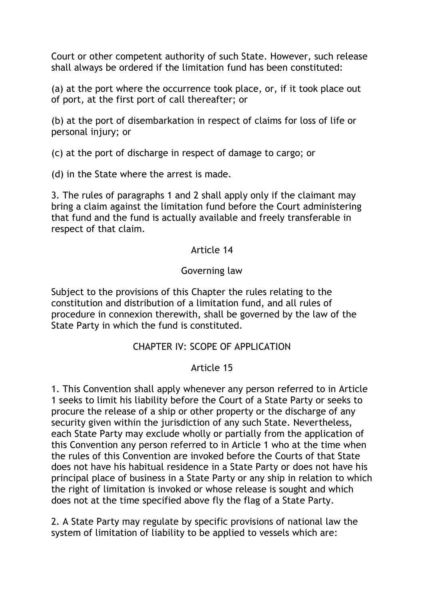Court or other competent authority of such State. However, such release shall always be ordered if the limitation fund has been constituted:

(a) at the port where the occurrence took place, or, if it took place out of port, at the first port of call thereafter; or

(b) at the port of disembarkation in respect of claims for loss of life or personal injury; or

(c) at the port of discharge in respect of damage to cargo; or

(d) in the State where the arrest is made.

3. The rules of paragraphs 1 and 2 shall apply only if the claimant may bring a claim against the limitation fund before the Court administering that fund and the fund is actually available and freely transferable in respect of that claim.

#### Article 14

## Governing law

Subject to the provisions of this Chapter the rules relating to the constitution and distribution of a limitation fund, and all rules of procedure in connexion therewith, shall be governed by the law of the State Party in which the fund is constituted.

#### CHAPTER IV: SCOPE OF APPLICATION

#### Article 15

1. This Convention shall apply whenever any person referred to in Article 1 seeks to limit his liability before the Court of a State Party or seeks to procure the release of a ship or other property or the discharge of any security given within the jurisdiction of any such State. Nevertheless, each State Party may exclude wholly or partially from the application of this Convention any person referred to in Article 1 who at the time when the rules of this Convention are invoked before the Courts of that State does not have his habitual residence in a State Party or does not have his principal place of business in a State Party or any ship in relation to which the right of limitation is invoked or whose release is sought and which does not at the time specified above fly the flag of a State Party.

2. A State Party may regulate by specific provisions of national law the system of limitation of liability to be applied to vessels which are: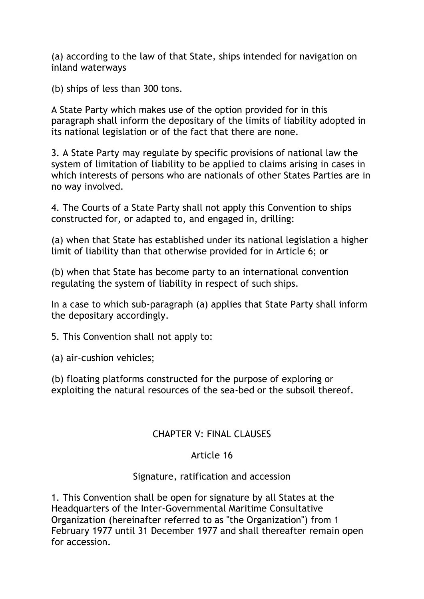(a) according to the law of that State, ships intended for navigation on inland waterways

(b) ships of less than 300 tons.

A State Party which makes use of the option provided for in this paragraph shall inform the depositary of the limits of liability adopted in its national legislation or of the fact that there are none.

3. A State Party may regulate by specific provisions of national law the system of limitation of liability to be applied to claims arising in cases in which interests of persons who are nationals of other States Parties are in no way involved.

4. The Courts of a State Party shall not apply this Convention to ships constructed for, or adapted to, and engaged in, drilling:

(a) when that State has established under its national legislation a higher limit of liability than that otherwise provided for in Article 6; or

(b) when that State has become party to an international convention regulating the system of liability in respect of such ships.

In a case to which sub-paragraph (a) applies that State Party shall inform the depositary accordingly.

5. This Convention shall not apply to:

(a) air-cushion vehicles;

(b) floating platforms constructed for the purpose of exploring or exploiting the natural resources of the sea-bed or the subsoil thereof.

## CHAPTER V: FINAL CLAUSES

## Article 16

## Signature, ratification and accession

1. This Convention shall be open for signature by all States at the Headquarters of the Inter-Governmental Maritime Consultative Organization (hereinafter referred to as "the Organization") from 1 February 1977 until 31 December 1977 and shall thereafter remain open for accession.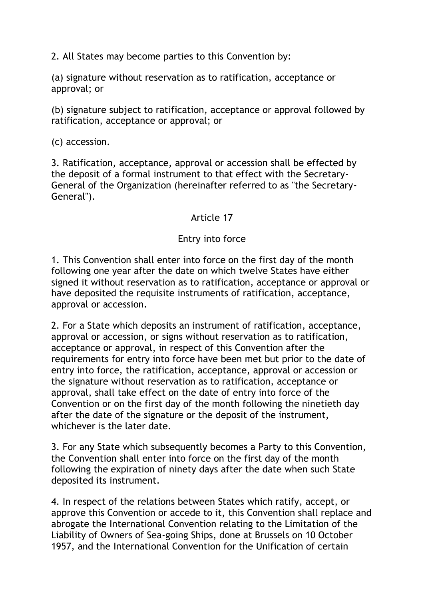2. All States may become parties to this Convention by:

(a) signature without reservation as to ratification, acceptance or approval; or

(b) signature subject to ratification, acceptance or approval followed by ratification, acceptance or approval; or

(c) accession.

3. Ratification, acceptance, approval or accession shall be effected by the deposit of a formal instrument to that effect with the Secretary-General of the Organization (hereinafter referred to as "the Secretary-General").

### Article 17

### Entry into force

1. This Convention shall enter into force on the first day of the month following one year after the date on which twelve States have either signed it without reservation as to ratification, acceptance or approval or have deposited the requisite instruments of ratification, acceptance, approval or accession.

2. For a State which deposits an instrument of ratification, acceptance, approval or accession, or signs without reservation as to ratification, acceptance or approval, in respect of this Convention after the requirements for entry into force have been met but prior to the date of entry into force, the ratification, acceptance, approval or accession or the signature without reservation as to ratification, acceptance or approval, shall take effect on the date of entry into force of the Convention or on the first day of the month following the ninetieth day after the date of the signature or the deposit of the instrument, whichever is the later date.

3. For any State which subsequently becomes a Party to this Convention, the Convention shall enter into force on the first day of the month following the expiration of ninety days after the date when such State deposited its instrument.

4. In respect of the relations between States which ratify, accept, or approve this Convention or accede to it, this Convention shall replace and abrogate the International Convention relating to the Limitation of the Liability of Owners of Sea-going Ships, done at Brussels on 10 October 1957, and the International Convention for the Unification of certain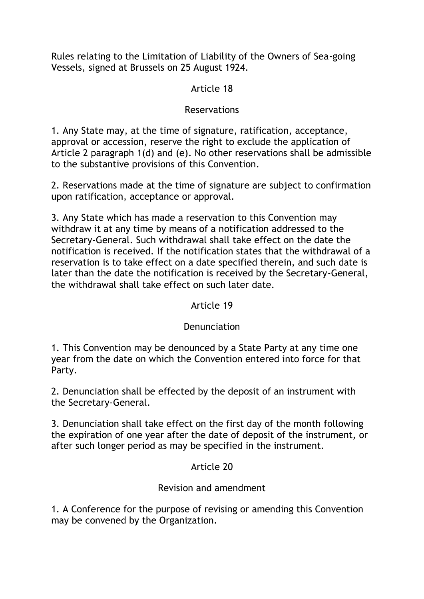Rules relating to the Limitation of Liability of the Owners of Sea-going Vessels, signed at Brussels on 25 August 1924.

## Article 18

## Reservations

1. Any State may, at the time of signature, ratification, acceptance, approval or accession, reserve the right to exclude the application of Article 2 paragraph 1(d) and (e). No other reservations shall be admissible to the substantive provisions of this Convention.

2. Reservations made at the time of signature are subject to confirmation upon ratification, acceptance or approval.

3. Any State which has made a reservation to this Convention may withdraw it at any time by means of a notification addressed to the Secretary-General. Such withdrawal shall take effect on the date the notification is received. If the notification states that the withdrawal of a reservation is to take effect on a date specified therein, and such date is later than the date the notification is received by the Secretary-General, the withdrawal shall take effect on such later date.

## Article 19

## Denunciation

1. This Convention may be denounced by a State Party at any time one year from the date on which the Convention entered into force for that Party.

2. Denunciation shall be effected by the deposit of an instrument with the Secretary-General.

3. Denunciation shall take effect on the first day of the month following the expiration of one year after the date of deposit of the instrument, or after such longer period as may be specified in the instrument.

# Article 20

# Revision and amendment

1. A Conference for the purpose of revising or amending this Convention may be convened by the Organization.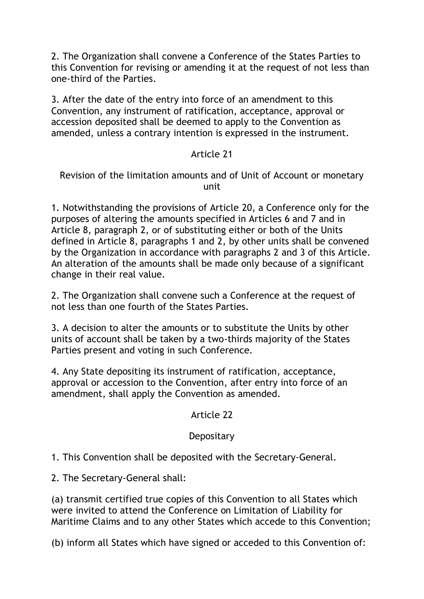2. The Organization shall convene a Conference of the States Parties to this Convention for revising or amending it at the request of not less than one-third of the Parties.

3. After the date of the entry into force of an amendment to this Convention, any instrument of ratification, acceptance, approval or accession deposited shall be deemed to apply to the Convention as amended, unless a contrary intention is expressed in the instrument.

### Article 21

#### Revision of the limitation amounts and of Unit of Account or monetary unit

1. Notwithstanding the provisions of Article 20, a Conference only for the purposes of altering the amounts specified in Articles 6 and 7 and in Article 8, paragraph 2, or of substituting either or both of the Units defined in Article 8, paragraphs 1 and 2, by other units shall be convened by the Organization in accordance with paragraphs 2 and 3 of this Article. An alteration of the amounts shall be made only because of a significant change in their real value.

2. The Organization shall convene such a Conference at the request of not less than one fourth of the States Parties.

3. A decision to alter the amounts or to substitute the Units by other units of account shall be taken by a two-thirds majority of the States Parties present and voting in such Conference.

4. Any State depositing its instrument of ratification, acceptance, approval or accession to the Convention, after entry into force of an amendment, shall apply the Convention as amended.

## Article 22

## **Depositary**

1. This Convention shall be deposited with the Secretary-General.

2. The Secretary-General shall:

(a) transmit certified true copies of this Convention to all States which were invited to attend the Conference on Limitation of Liability for Maritime Claims and to any other States which accede to this Convention;

(b) inform all States which have signed or acceded to this Convention of: